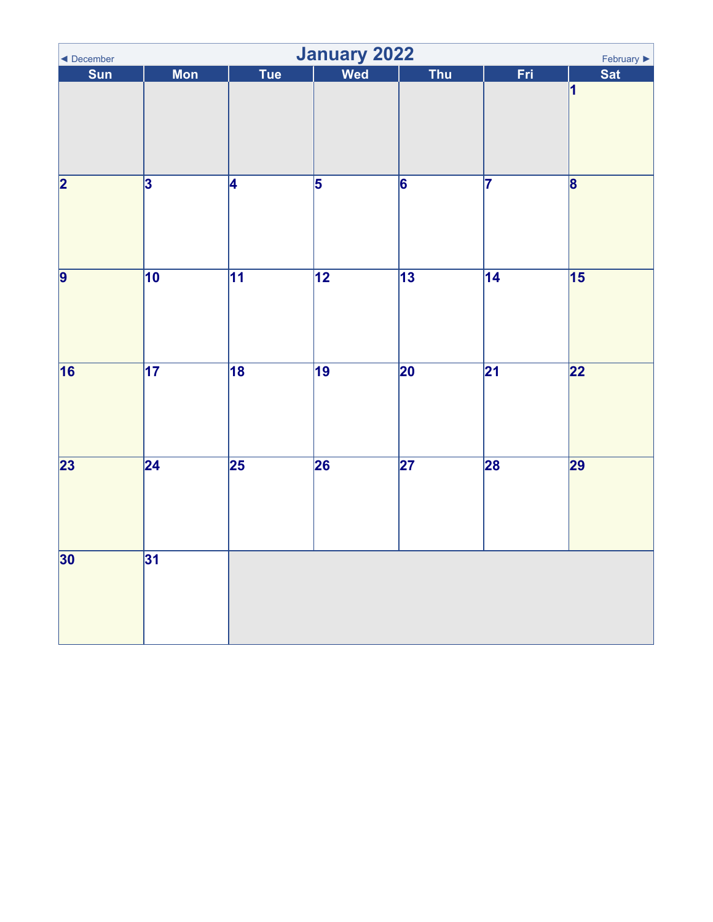<span id="page-0-0"></span>

| January 2022<br>February ▶<br>◀ December |                 |                 |                 |                 |                         |                         |  |  |
|------------------------------------------|-----------------|-----------------|-----------------|-----------------|-------------------------|-------------------------|--|--|
| Sun                                      | <b>Mon</b>      | Tue             |                 | <b>Thu</b>      | Fri                     | <b>Sat</b>              |  |  |
|                                          |                 |                 |                 |                 |                         | $\vert$ 1               |  |  |
| $\overline{\mathbf{2}}$                  | $\overline{3}$  | 4               | $\overline{5}$  | $\overline{6}$  | $\overline{\mathbf{7}}$ | $\overline{\mathbf{8}}$ |  |  |
| $\overline{9}$                           | $\overline{10}$ | $\overline{11}$ | $\overline{12}$ | $\overline{13}$ | $\overline{14}$         | $\overline{15}$         |  |  |
| $\overline{16}$                          | $\overline{17}$ | 18              | $\overline{19}$ | $\overline{20}$ | $\overline{21}$         | $\overline{22}$         |  |  |
| $\overline{23}$                          | $\overline{24}$ | $\overline{25}$ | 26              | $\overline{27}$ | 28                      | 29                      |  |  |
| 30                                       | 31              |                 |                 |                 |                         |                         |  |  |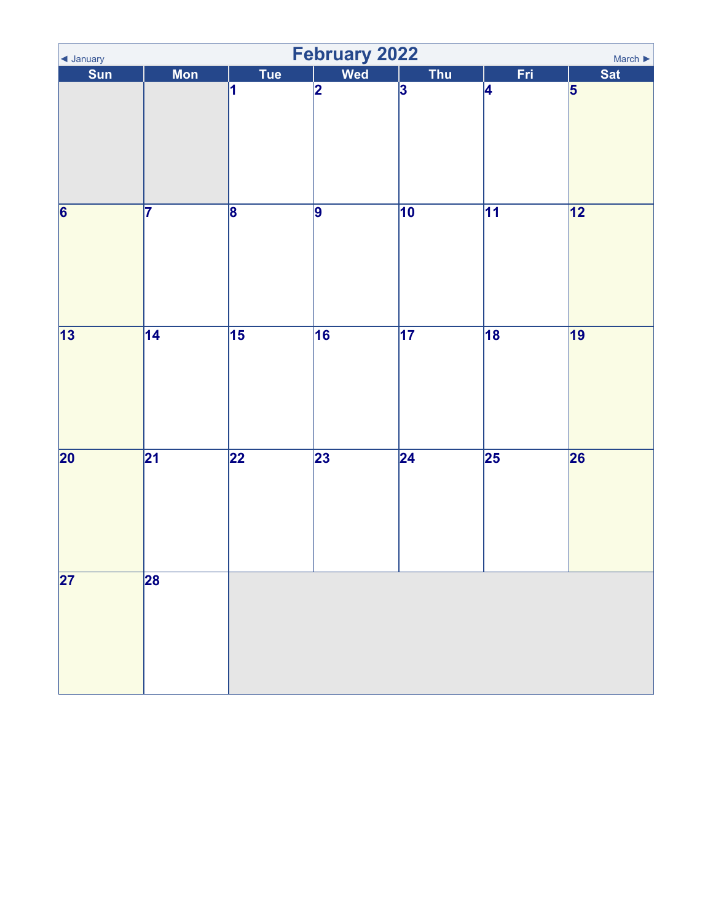| February 2022<br>◀ January<br>March $\blacktriangleright$ |                 |                         |                |                 |                 |                 |  |
|-----------------------------------------------------------|-----------------|-------------------------|----------------|-----------------|-----------------|-----------------|--|
| Sun                                                       | <b>Mon</b>      | Tue                     | Wed            | <b>Thu</b>      | Fri             | Sat             |  |
|                                                           |                 | 1                       | 2              | 3               | 4               | $\vert$ 5       |  |
| $\overline{6}$                                            | 17              | $\overline{\mathbf{8}}$ | $\overline{9}$ | $\overline{10}$ | $\overline{11}$ | $\overline{12}$ |  |
| $\overline{13}$                                           | $\overline{14}$ | $\overline{15}$         | 16             | $\overline{17}$ | 18              | $\overline{19}$ |  |
| $\overline{20}$                                           | $\overline{21}$ | $\overline{22}$         | 23             | $\overline{24}$ | 25              | 26              |  |
| $\overline{\mathbf{27}}$                                  | 28              |                         |                |                 |                 |                 |  |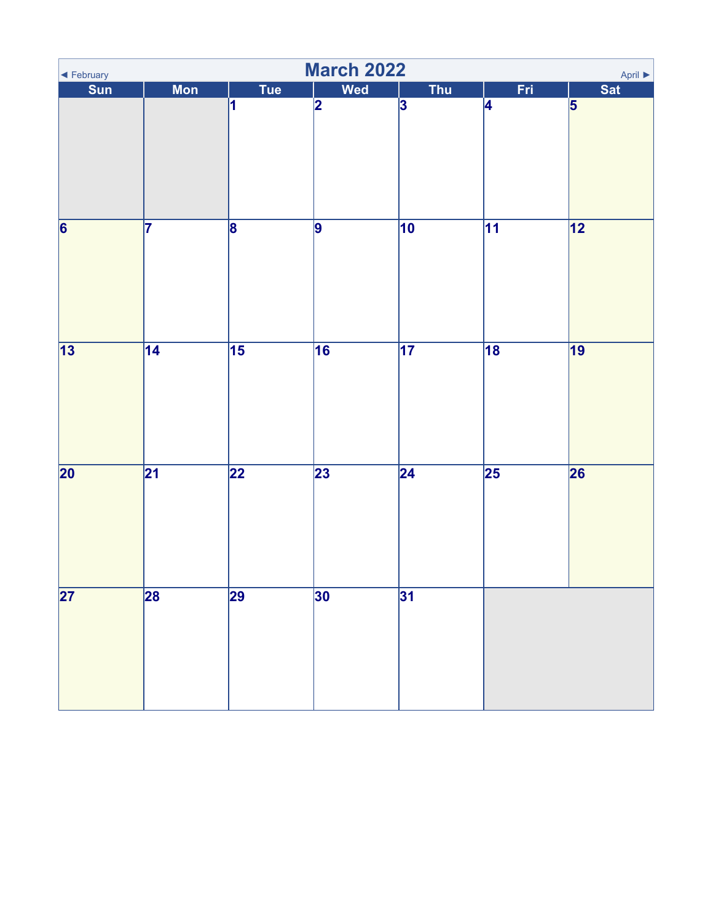| ◀ February               | <b>March 2022</b><br>April $\blacktriangleright$ |                         |                 |                 |                 |                 |  |  |  |
|--------------------------|--------------------------------------------------|-------------------------|-----------------|-----------------|-----------------|-----------------|--|--|--|
| Sun                      | <b>Mon</b>                                       | Tue                     | <b>Wed</b>      | <b>Thu</b>      | Fri             | Sat             |  |  |  |
|                          |                                                  | 1                       | 2               | 3               | 4               | $\overline{5}$  |  |  |  |
| $\overline{6}$           | 17                                               | $\overline{\mathbf{8}}$ | $\overline{9}$  | $\overline{10}$ | $\overline{11}$ | $\overline{12}$ |  |  |  |
| $\overline{13}$          | $\overline{14}$                                  | $\overline{15}$         | $\overline{16}$ | $\overline{17}$ | 18              | $\overline{19}$ |  |  |  |
| $\overline{20}$          | $\overline{21}$                                  | $\overline{22}$         | 23              | $\overline{24}$ | $\overline{25}$ | 26              |  |  |  |
| $\overline{\mathbf{27}}$ | 28                                               | 29                      | 30              | 31              |                 |                 |  |  |  |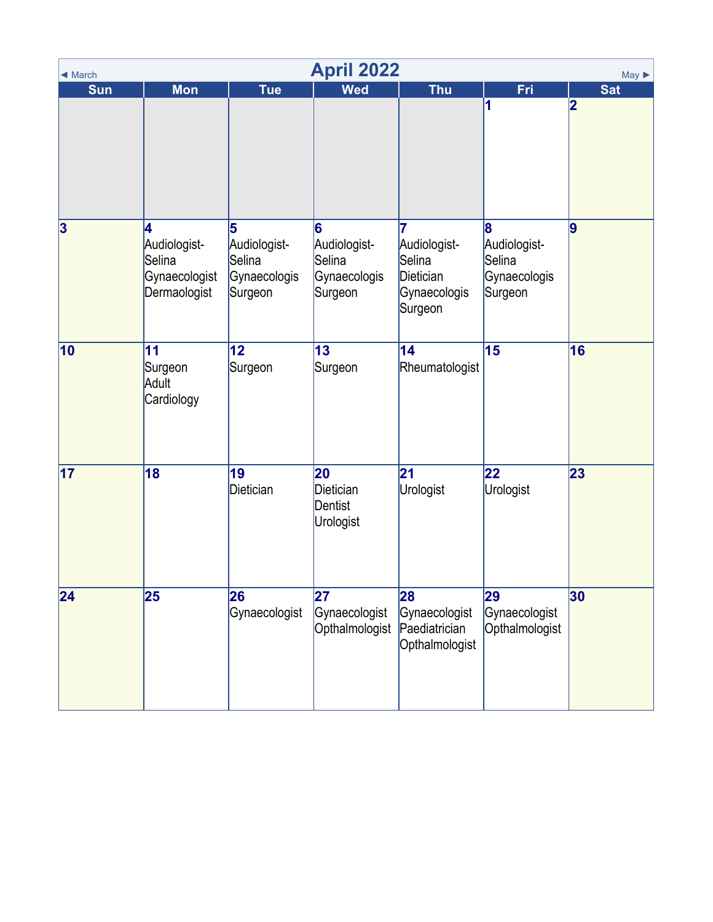| <b>April 2022</b><br>$May \triangleright$<br>$\triangleleft$ March |                                                               |                                                        |                                                        |                                                                       |                                                        |                                       |  |  |
|--------------------------------------------------------------------|---------------------------------------------------------------|--------------------------------------------------------|--------------------------------------------------------|-----------------------------------------------------------------------|--------------------------------------------------------|---------------------------------------|--|--|
| <b>Sun</b>                                                         | <b>Mon</b>                                                    | <b>Tue</b>                                             | <b>Wed</b>                                             | <b>Thu</b>                                                            | Fri<br>1                                               | <b>Sat</b><br>$\overline{\mathbf{2}}$ |  |  |
| $\vert$ 3                                                          | 14<br>Audiologist-<br>Selina<br>Gynaecologist<br>Dermaologist | 5<br>Audiologist-<br>Selina<br>Gynaecologis<br>Surgeon | 6<br>Audiologist-<br>Selina<br>Gynaecologis<br>Surgeon | Audiologist-<br>Selina<br><b>Dietician</b><br>Gynaecologis<br>Surgeon | 8<br>Audiologist-<br>Selina<br>Gynaecologis<br>Surgeon | 9                                     |  |  |
| 10                                                                 | 11<br>Surgeon<br>Adult<br>Cardiology                          | 12 <br>Surgeon                                         | 13<br>Surgeon                                          | 14<br>Rheumatologist                                                  | 15                                                     | 16                                    |  |  |
| 17                                                                 | 18                                                            | 19<br>Dietician                                        | 20<br><b>Dietician</b><br><b>Dentist</b><br>Urologist  | $\boldsymbol{21}$<br>Urologist                                        | 22<br>Urologist                                        | 23                                    |  |  |
| 24                                                                 | 25                                                            | 26<br>Gynaecologist                                    | 27<br>Gynaecologist<br>Opthalmologist                  | 28<br>Gynaecologist<br>Paediatrician<br>Opthalmologist                | 29<br>Gynaecologist<br>Opthalmologist                  | 30                                    |  |  |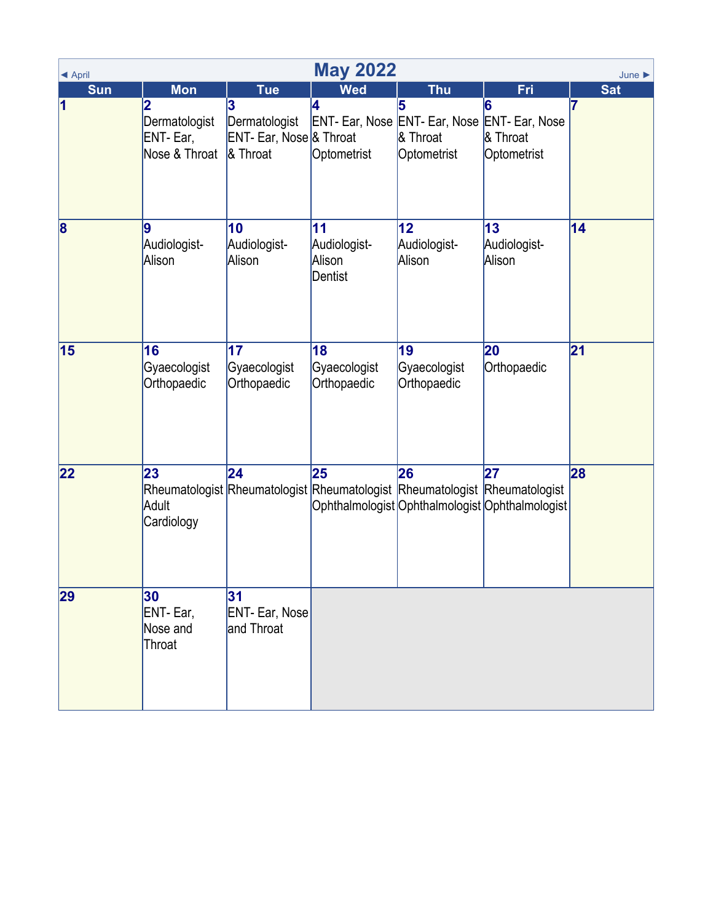| ◀ April    | <b>May 2022</b><br>June $\blacktriangleright$   |                                                           |                                                                                  |                                                                              |                                                       |            |  |  |
|------------|-------------------------------------------------|-----------------------------------------------------------|----------------------------------------------------------------------------------|------------------------------------------------------------------------------|-------------------------------------------------------|------------|--|--|
| <b>Sun</b> | <b>Mon</b>                                      | <b>Tue</b>                                                | <b>Wed</b>                                                                       | <b>Thu</b>                                                                   | <b>Fri</b>                                            | <b>Sat</b> |  |  |
| $\vert$ 1  | 2<br>Dermatologist<br>ENT-Ear,<br>Nose & Throat | 3<br>Dermatologist<br>ENT- Ear, Nose & Throat<br>& Throat | 4<br>Optometrist                                                                 | 5<br>ENT- Ear, Nose ENT- Ear, Nose ENT- Ear, Nose<br>& Throat<br>Optometrist | 6<br>& Throat<br>Optometrist                          | 7          |  |  |
| $\bf{8}$   | 9<br>Audiologist-<br>Alison                     | 10<br>Audiologist-<br>Alison                              | 11<br>Audiologist-<br>Alison<br>Dentist                                          | 12<br>Audiologist-<br>Alison                                                 | 13<br>Audiologist-<br>Alison                          | 14         |  |  |
| 15         | 16<br>Gyaecologist<br>Orthopaedic               | 17<br>Gyaecologist<br>Orthopaedic                         | 18<br>Gyaecologist<br>Orthopaedic                                                | 19<br>Gyaecologist<br>Orthopaedic                                            | 20<br>Orthopaedic                                     | 21         |  |  |
| 22         | 23<br>Adult<br>Cardiology                       | 24                                                        | 25<br>Rheumatologist Rheumatologist Rheumatologist Rheumatologist Rheumatologist | 26                                                                           | 27<br>Ophthalmologist Ophthalmologist Ophthalmologist | 28         |  |  |
| 29         | 30<br>ENT- Ear,<br>Nose and<br>Throat           | 31<br><b>ENT- Ear, Nose</b><br>and Throat                 |                                                                                  |                                                                              |                                                       |            |  |  |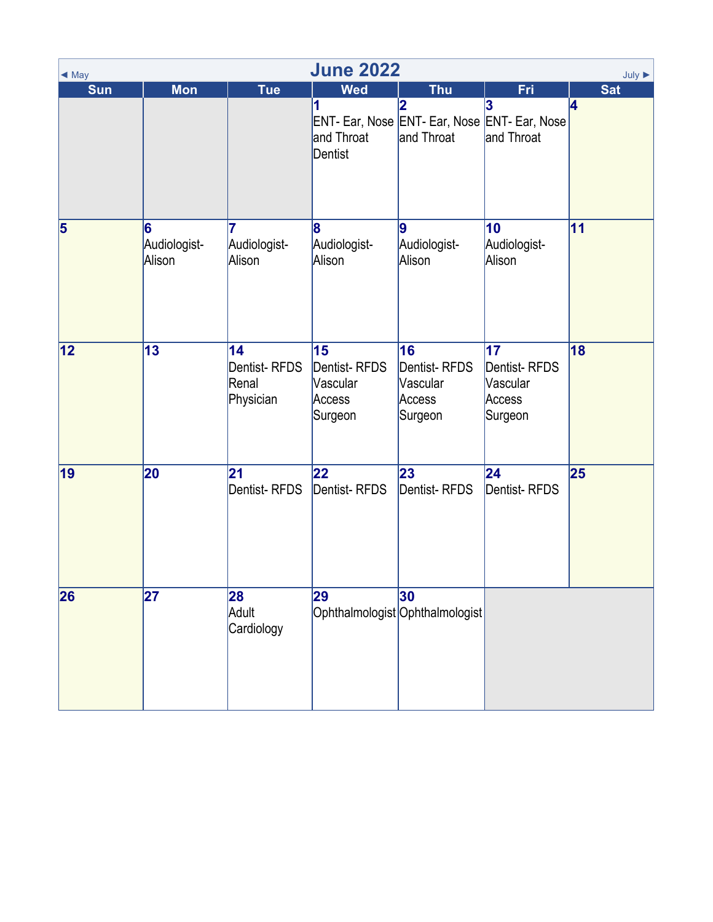| $\triangleleft$ May     | <b>June 2022</b><br>$July \blacktriangleright$ |                                          |                                                     |                                                                                |                                                     |                 |  |  |  |
|-------------------------|------------------------------------------------|------------------------------------------|-----------------------------------------------------|--------------------------------------------------------------------------------|-----------------------------------------------------|-----------------|--|--|--|
| Sun                     | <b>Mon</b>                                     | <b>Tue</b>                               | <b>Wed</b><br>1<br>and Throat<br>Dentist            | <b>Thu</b><br> 2<br>ENT- Ear, Nose ENT- Ear, Nose ENT- Ear, Nose<br>and Throat | <b>Fri</b><br>3<br>and Throat                       | <b>Sat</b><br>4 |  |  |  |
| $\overline{\mathbf{5}}$ | 6<br>Audiologist-<br>Alison                    | Audiologist-<br>Alison                   | $\mathbf{8}$<br>Audiologist-<br>Alison              | 9<br>Audiologist-<br>Alison                                                    | 10<br>Audiologist-<br>Alison                        | 11              |  |  |  |
| 12                      | 13                                             | 14<br>Dentist-RFDS<br>Renal<br>Physician | 15<br>Dentist-RFDS<br>Vascular<br>Access<br>Surgeon | 16<br>Dentist-RFDS<br>Vascular<br>Access<br>Surgeon                            | 17<br>Dentist-RFDS<br>Vascular<br>Access<br>Surgeon | 18              |  |  |  |
| 19                      | 20                                             | 21<br>Dentist-RFDS                       | $ 22\rangle$<br>Dentist-RFDS                        | 23<br>Dentist-RFDS                                                             | 24 <br>Dentist-RFDS                                 | 25              |  |  |  |
| 26                      | $\overline{27}$                                | 28<br>Adult<br>Cardiology                | 29                                                  | 30<br>Ophthalmologist Ophthalmologist                                          |                                                     |                 |  |  |  |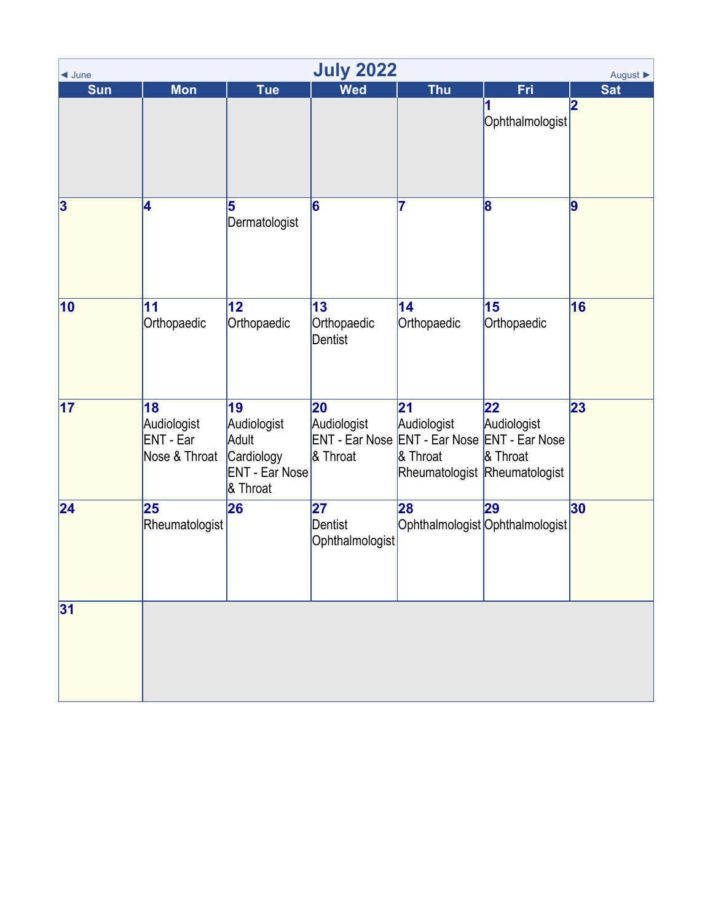| $\triangleleft$ June | <b>July 2022</b><br>August ▶                           |                                                                               |                                         |                                                                                                                |                                       |                         |  |  |  |
|----------------------|--------------------------------------------------------|-------------------------------------------------------------------------------|-----------------------------------------|----------------------------------------------------------------------------------------------------------------|---------------------------------------|-------------------------|--|--|--|
| <b>Sun</b>           | <b>Mon</b>                                             | <b>Tue</b>                                                                    | <b>Wed</b>                              | <b>Thu</b>                                                                                                     | Fri                                   | <b>Sat</b>              |  |  |  |
|                      |                                                        |                                                                               |                                         |                                                                                                                | Ophthalmologist                       | $\overline{\mathbf{2}}$ |  |  |  |
| $\vert 3 \vert$      | 4                                                      | 5<br>Dermatologist                                                            | 6                                       | 7                                                                                                              | 8                                     | 9                       |  |  |  |
| 10                   | 11<br>Orthopaedic                                      | 12 <br>Orthopaedic                                                            | 13<br>Orthopaedic<br><b>Dentist</b>     | 14<br>Orthopaedic                                                                                              | 15<br>Orthopaedic                     | 16                      |  |  |  |
| 17                   | 18<br>Audiologist<br><b>ENT</b> - Ear<br>Nose & Throat | 19<br>Audiologist<br>Adult<br>Cardiology<br><b>ENT - Ear Nose</b><br>& Throat | 20<br>Audiologist<br>& Throat           | 21<br>Audiologist<br>ENT - Ear Nose ENT - Ear Nose ENT - Ear Nose<br>& Throat<br>Rheumatologist Rheumatologist | 22<br>Audiologist<br>& Throat         | 23                      |  |  |  |
| 24                   | 25<br>Rheumatologist                                   | 26                                                                            | 27<br><b>Dentist</b><br>Ophthalmologist | 28                                                                                                             | 29<br>Ophthalmologist Ophthalmologist | 30                      |  |  |  |
| 31                   |                                                        |                                                                               |                                         |                                                                                                                |                                       |                         |  |  |  |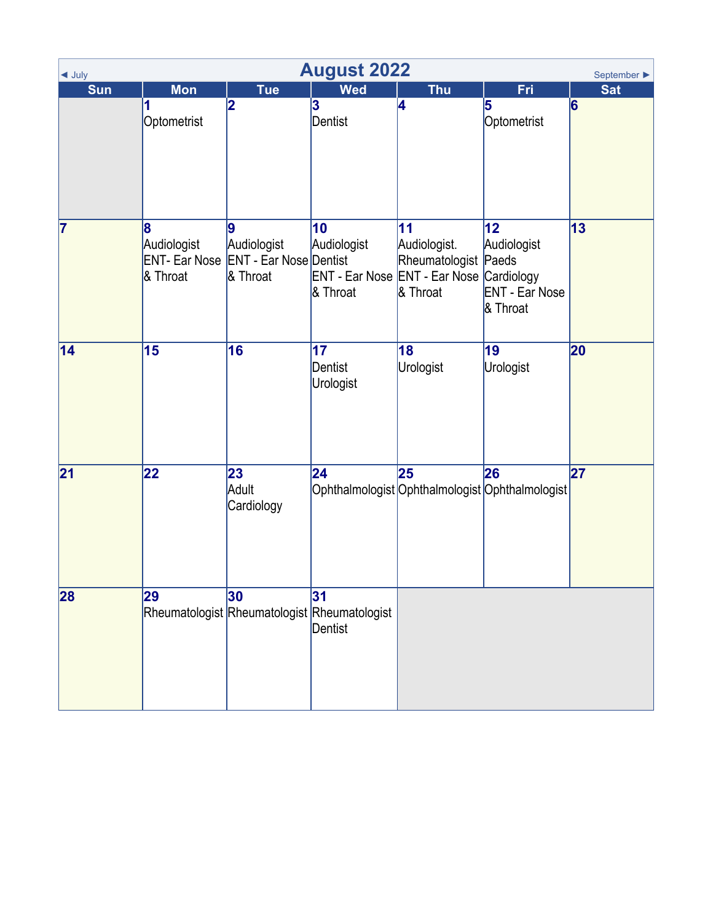| <b>August 2022</b><br>$\triangleleft$ July<br>September $\blacktriangleright$ |                                                    |                                                                      |                                                                           |                                                        |                                                        |                 |  |
|-------------------------------------------------------------------------------|----------------------------------------------------|----------------------------------------------------------------------|---------------------------------------------------------------------------|--------------------------------------------------------|--------------------------------------------------------|-----------------|--|
| Sun                                                                           | <b>Mon</b><br>Optometrist                          | <b>Tue</b><br>2                                                      | <b>Wed</b><br>3<br>Dentist                                                | <b>Thu</b><br>4                                        | Fri<br>5<br>Optometrist                                | <b>Sat</b><br>6 |  |
| 7                                                                             | 8<br>Audiologist<br>& Throat                       | 9<br>Audiologist<br>ENT- Ear Nose ENT - Ear Nose Dentist<br>& Throat | 10<br>Audiologist<br>ENT - Ear Nose ENT - Ear Nose Cardiology<br>& Throat | 11<br>Audiologist.<br>Rheumatologist Paeds<br>& Throat | 12<br>Audiologist<br><b>ENT - Ear Nose</b><br>& Throat | 13              |  |
| 14                                                                            | 15                                                 | 16                                                                   | 17<br><b>Dentist</b><br>Urologist                                         | 18<br>Urologist                                        | 19<br>Urologist                                        | 20              |  |
| 21                                                                            | 22                                                 | 23<br>Adult<br>Cardiology                                            | 24                                                                        | 25                                                     | 26<br>Ophthalmologist Ophthalmologist Ophthalmologist  | 27              |  |
| 28                                                                            | 29<br>Rheumatologist Rheumatologist Rheumatologist | 30                                                                   | 31<br>Dentist                                                             |                                                        |                                                        |                 |  |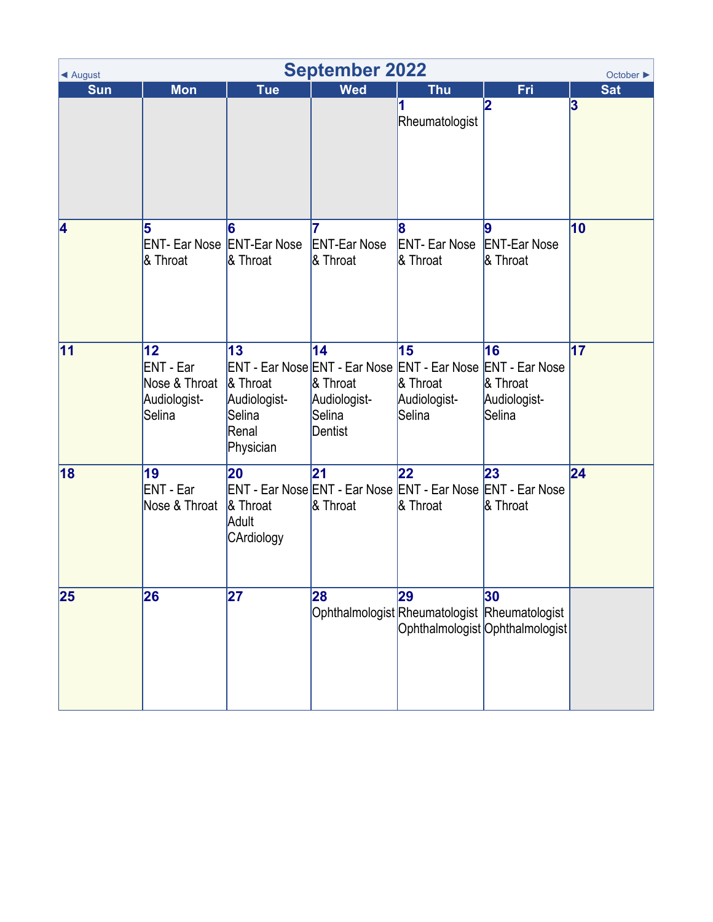| ◀ August        |                                                                             |                                                                           | <b>September 2022</b>                                                                                                      |                                                     |                                          | October $\blacktriangleright$ |
|-----------------|-----------------------------------------------------------------------------|---------------------------------------------------------------------------|----------------------------------------------------------------------------------------------------------------------------|-----------------------------------------------------|------------------------------------------|-------------------------------|
| <b>Sun</b>      | <b>Mon</b>                                                                  | <b>Tue</b>                                                                | <b>Wed</b>                                                                                                                 | <b>Thu</b>                                          | <b>Fri</b>                               | <b>Sat</b>                    |
|                 |                                                                             |                                                                           |                                                                                                                            | 1<br>Rheumatologist                                 | 12                                       | 3                             |
| 4               | 5<br><b>ENT- Ear Nose ENT-Ear Nose</b><br>& Throat                          | 16<br>& Throat                                                            | 7<br><b>ENT-Ear Nose</b><br>& Throat                                                                                       | 8<br><b>ENT- Ear Nose</b><br>& Throat               | 19<br><b>ENT-Ear Nose</b><br>& Throat    | 10                            |
| $\overline{11}$ | $ 12\rangle$<br><b>ENT</b> - Ear<br>Nose & Throat<br>Audiologist-<br>Selina | $\vert$ 13<br>$\&$ Throat<br>Audiologist-<br>Selina<br>Renal<br>Physician | $\vert$ 14<br>ENT - Ear Nose ENT - Ear Nose ENT - Ear Nose ENT - Ear Nose<br>& Throat<br>Audiologist-<br>Selina<br>Dentist | 15<br>& Throat<br>Audiologist-<br>Selina            | 16<br>& Throat<br>Audiologist-<br>Selina | 17                            |
| 18              | 19<br><b>ENT</b> - Ear<br>Nose & Throat                                     | 20<br>& Throat<br>Adult<br>CArdiology                                     | $\overline{21}$<br>ENT - Ear Nose ENT - Ear Nose ENT - Ear Nose ENT - Ear Nose<br>& Throat                                 | 22<br>& Throat                                      | 23<br>& Throat                           | $\overline{24}$               |
| 25              | 26                                                                          | $\overline{27}$                                                           | 28                                                                                                                         | 29<br>Ophthalmologist Rheumatologist Rheumatologist | 30<br>Ophthalmologist Ophthalmologist    |                               |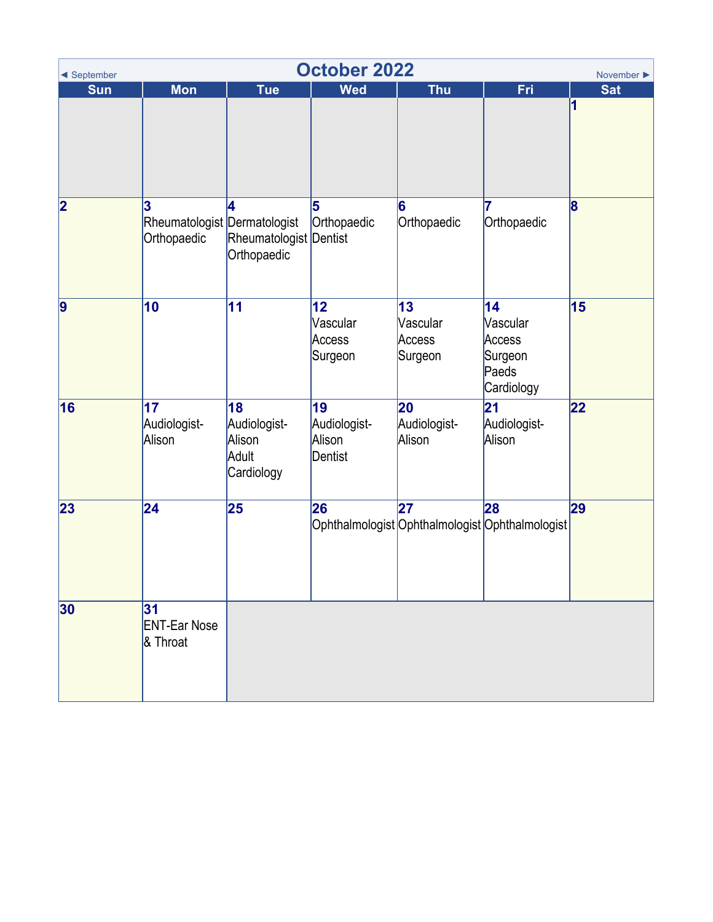| ◀ September             | <b>October 2022</b><br>November $\blacktriangleright$ |                                                     |                                         |                                                       |                                                            |                 |  |  |  |
|-------------------------|-------------------------------------------------------|-----------------------------------------------------|-----------------------------------------|-------------------------------------------------------|------------------------------------------------------------|-----------------|--|--|--|
| <b>Sun</b>              | <b>Mon</b>                                            | <b>Tue</b>                                          | <b>Wed</b>                              | <b>Thu</b>                                            | Fri                                                        | <b>Sat</b><br>1 |  |  |  |
| $\overline{\mathbf{2}}$ | 3<br>Rheumatologist Dermatologist<br>Orthopaedic      | Rheumatologist Dentist<br>Orthopaedic               | 5<br>Orthopaedic                        | 6<br>Orthopaedic                                      | Orthopaedic                                                | 8               |  |  |  |
| $\overline{9}$          | 10                                                    | 11                                                  | 12<br>Vascular<br>Access<br>Surgeon     | 13<br>Vascular<br>Access<br>Surgeon                   | 14<br>Vascular<br>Access<br>Surgeon<br>Paeds<br>Cardiology | 15              |  |  |  |
| 16                      | 17<br>Audiologist-<br>Alison                          | 18<br>Audiologist-<br>Alison<br>Adult<br>Cardiology | 19<br>Audiologist-<br>Alison<br>Dentist | 20<br>Audiologist-<br>Alison                          | 21<br>Audiologist-<br>Alison                               | 22              |  |  |  |
| 23                      | $\overline{24}$                                       | 25                                                  | 26                                      | 27<br>Ophthalmologist Ophthalmologist Ophthalmologist | 28                                                         | 29              |  |  |  |
| 30                      | 31<br><b>ENT-Ear Nose</b><br>& Throat                 |                                                     |                                         |                                                       |                                                            |                 |  |  |  |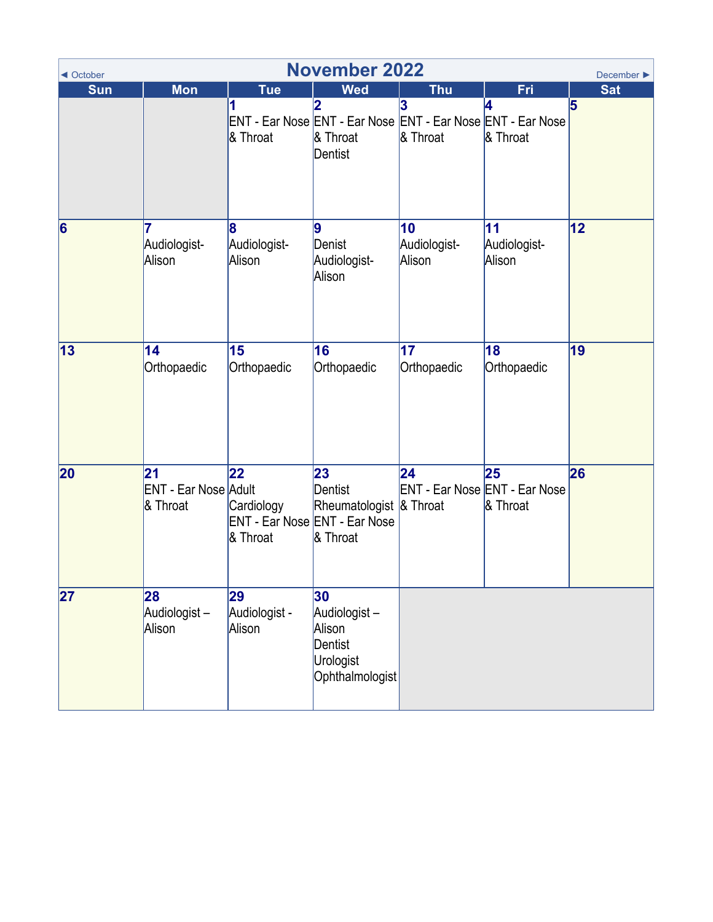| ◀ October       |                                               |                               | <b>November 2022</b>                                                                                  |                              |                                                        | December ▶      |
|-----------------|-----------------------------------------------|-------------------------------|-------------------------------------------------------------------------------------------------------|------------------------------|--------------------------------------------------------|-----------------|
| Sun             | <b>Mon</b>                                    | <b>Tue</b><br>& Throat        | <b>Wed</b><br>2<br>ENT - Ear Nose ENT - Ear Nose ENT - Ear Nose ENT - Ear Nose<br>& Throat<br>Dentist | <b>Thu</b><br>3<br>& Throat  | Fri<br>4<br>& Throat                                   | <b>Sat</b><br>5 |
| 6               | 7<br>Audiologist-<br>Alison                   | 18<br>Audiologist-<br>Alison  | 9<br>Denist<br>Audiologist-<br>Alison                                                                 | 10<br>Audiologist-<br>Alison | 11<br>Audiologist-<br>Alison                           | 12              |
| 13              | $\overline{14}$<br>Orthopaedic                | 15<br>Orthopaedic             | 16<br>Orthopaedic                                                                                     | 17<br>Orthopaedic            | 18<br>Orthopaedic                                      | 19              |
| 20              | 21<br><b>ENT - Ear Nose Adult</b><br>& Throat | 22<br>Cardiology<br>& Throat  | 23<br>Dentist<br>Rheumatologist & Throat<br><b>ENT - Ear Nose ENT - Ear Nose</b><br>& Throat          | 24                           | 25<br><b>ENT - Ear Nose ENT - Ear Nose</b><br>& Throat | 26              |
| $\overline{27}$ | 28<br>Audiologist-<br>Alison                  | 29<br>Audiologist -<br>Alison | 30<br>Audiologist-<br>Alison<br><b>Dentist</b><br>Urologist<br>Ophthalmologist                        |                              |                                                        |                 |